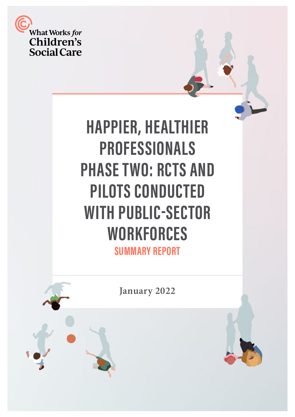

# **HAPPIER, HEALTHIER PROFESSIONALS PHASE TWO: RCTS AND PILOTS CONDUCTED WITH PUBLIC-SECTOR WORKFORCES SUMMARY REPORT**

**January 2022** 



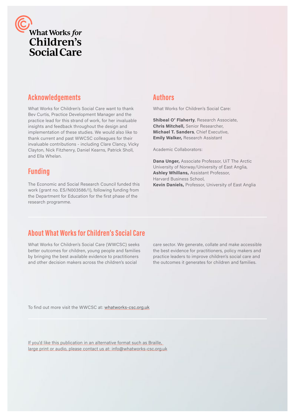

# **Acknowledgements**

What Works for Children's Social Care want to thank Bev Curtis, Practice Development Manager and the practice lead for this strand of work, for her invaluable insights and feedback throughout the design and implementation of these studies. We would also like to thank current and past WWCSC colleagues for their invaluable contributions - including Clare Clancy, Vicky Clayton, Nick Fitzhenry, Daniel Kearns, Patrick Sholl, and Ella Whelan.

### **Funding**

The Economic and Social Research Council funded this work (grant no. ES/N003586/1), following funding from the Department for Education for the first phase of the research programme.

#### **Authors**

What Works for Children's Social Care:

**Shibeal O' Flaherty**, Research Associate, **Chris Mitchell,** Senior Researcher, **Michael T. Sanders**, Chief Executive, **Emily Walker,** Research Assistant

Academic Collaborators:

**Dana Unger,** Associate Professor, UiT The Arctic University of Norway/University of East Anglia, **Ashley Whillans,** Assistant Professor, Harvard Business School, **Kevin Daniels,** Professor, University of East Anglia

### **About What Works for Children's Social Care**

What Works for Children's Social Care (WWCSC) seeks better outcomes for children, young people and families by bringing the best available evidence to practitioners and other decision makers across the children's social

care sector. We generate, collate and make accessible the best evidence for practitioners, policy makers and practice leaders to improve children's social care and the outcomes it generates for children and families.

To find out more visit the WWCSC at: [whatworks-csc.org.uk](https://whatworks-csc.org.uk)

If you'd like this publication in an alternative format such as Braille, large print or audio, please contact us at: info@whatworks-csc.org.uk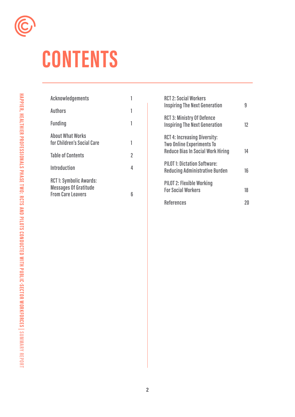

# **CONTENTS**

| Acknowledgements                                                                          |   |
|-------------------------------------------------------------------------------------------|---|
| <b>Authors</b>                                                                            | 1 |
| <b>Funding</b>                                                                            | 1 |
| <b>About What Works</b><br>for Children's Social Care                                     | 1 |
| <b>Table of Contents</b>                                                                  | 2 |
| <b>Introduction</b>                                                                       | 4 |
| <b>RCT1: Symbolic Awards:</b><br><b>Messages Of Gratitude</b><br><b>From Care Leavers</b> | 6 |

| <b>RCT 2: Social Workers</b><br><b>Inspiring The Next Generation</b>                                                | g  |
|---------------------------------------------------------------------------------------------------------------------|----|
| <b>RCT 3: Ministry Of Defence</b><br><b>Inspiring The Next Generation</b>                                           | 12 |
| <b>RCT 4: Increasing Diversity:</b><br><b>Two Online Experiments To</b><br><b>Reduce Bias In Social Work Hiring</b> | 14 |
| <b>PILOT 1: Dictation Software:</b><br><b>Reducing Administrative Burden</b>                                        | 16 |
| <b>PILOT 2: Flexible Working</b><br><b>For Social Workers</b>                                                       | 18 |
| <b>References</b>                                                                                                   |    |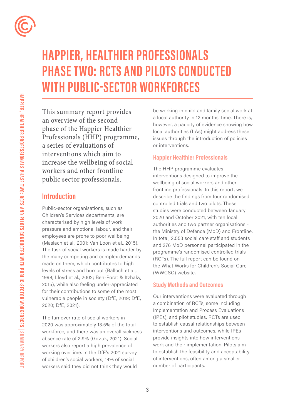

# **HAPPIER, HEALTHIER PROFESSIONALS PHASE TWO: RCTS AND PILOTS CONDUCTED WITH PUBLIC-SECTOR WORKFORCES**

This summary report provides an overview of the second phase of the Happier Healthier Professionals (HHP) programme, a series of evaluations of interventions which aim to increase the wellbeing of social workers and other frontline public sector professionals.

### **Introduction**

Public-sector organisations, such as Children's Services departments, are characterised by high levels of work pressure and emotional labour, and their employees are prone to poor wellbeing (Maslach et al., 2001; Van Loon et al., 2015). The task of social workers is made harder by the many competing and complex demands made on them, which contributes to high levels of stress and burnout (Balloch et al., 1998; Lloyd et al., 2002; Ben-Porat & Itzhaky, 2015), while also feeling under-appreciated for their contributions to some of the most vulnerable people in society (DfE, 2019; DfE, 2020; DfE, 2021).

The turnover rate of social workers in 2020 was approximately 13.5% of the total workforce, and there was an overall sickness absence rate of 2.9% (Gov.uk, 2021). Social workers also report a high prevalence of working overtime. In the DfE's 2021 survey of children's social workers, 14% of social workers said they did not think they would

be working in child and family social work at a local authority in 12 months' time. There is, however, a paucity of evidence showing how local authorities (LAs) might address these issues through the introduction of policies or interventions.

#### **Happier Healthier Professionals**

The HHP programme evaluates interventions designed to improve the wellbeing of social workers and other frontline professionals. In this report, we describe the findings from four randomised controlled trials and two pilots. These studies were conducted between January 2020 and October 2021, with ten local authorities and two partner organisations the Ministry of Defence (MoD) and Frontline. In total, 2,553 social care staff and students and 276 MoD personnel participated in the programme's randomised controlled trials (RCTs). The full report can be found on the What Works for Children's Social Care (WWCSC) website.

#### **Study Methods and Outcomes**

Our interventions were evaluated through a combination of RCTs, some including Implementation and Process Evaluations (IPEs), and pilot studies. RCTs are used to establish causal relationships between interventions and outcomes, while IPEs provide insights into how interventions work and their implementation. Pilots aim to establish the feasibility and acceptability of interventions, often among a smaller number of participants.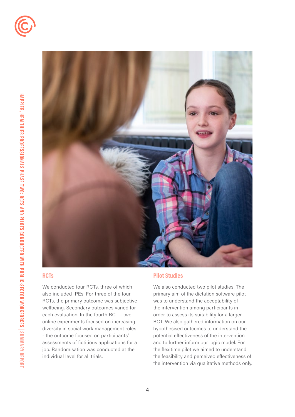



#### **RCTs**

We conducted four RCTs, three of which also included IPEs. For three of the four RCTs, the primary outcome was subjective wellbeing. Secondary outcomes varied for each evaluation. In the fourth RCT - two online experiments focused on increasing diversity in social work management roles - the outcome focused on participants' assessments of fictitious applications for a job. Randomisation was conducted at the individual level for all trials.

#### **Pilot Studies**

We also conducted two pilot studies. The primary aim of the dictation software pilot was to understand the acceptability of the intervention among participants in order to assess its suitability for a larger RCT. We also gathered information on our hypothesised outcomes to understand the potential efectiveness of the intervention and to further inform our logic model. For the flexitime pilot we aimed to understand the feasibility and perceived efectiveness of the intervention via qualitative methods only.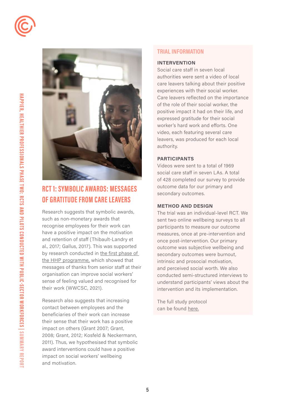



# **RCT 1: SYMBOLIC AWARDS: MESSAGES OF GRATITUDE FROM CARE LEAVERS**

Research suggests that symbolic awards, such as non-monetary awards that recognise employees for their work can have a positive impact on the motivation and retention of staff (Thibault-Landry et al., 2017; Gallus, 2017). This was supported by research conducted in [the first phase of](https://whatworks-csc.org.uk/wp-content/uploads/WWCSC_Happier-Healthier-Professionals-evaluation_March2021_v2.pdf)  [the HHP programme,](https://whatworks-csc.org.uk/wp-content/uploads/WWCSC_Happier-Healthier-Professionals-evaluation_March2021_v2.pdf) which showed that messages of thanks from senior staff at their organisation can improve social workers' sense of feeling valued and recognised for their work (WWCSC, 2021).

Research also suggests that increasing contact between employees and the beneficiaries of their work can increase their sense that their work has a positive impact on others (Grant 2007; Grant, 2008; Grant, 2012; Kosfeld & Neckermann, 2011). Thus, we hypothesised that symbolic award interventions could have a positive impact on social workers' wellbeing and motivation.

#### **TRIAL INFORMATION**

#### **INTERVENTION**

Social care staff in seven local authorities were sent a video of local care leavers talking about their positive experiences with their social worker. Care leavers reflected on the importance of the role of their social worker, the positive impact it had on their life, and expressed gratitude for their social worker's hard work and efforts. One video, each featuring several care leavers, was produced for each local authority.

#### **PARTICIPANTS**

Videos were sent to a total of 1969 social care staff in seven LAs. A total of 428 completed our survey to provide outcome data for our primary and secondary outcomes.

#### **METHOD AND DESIGN**

The trial was an individual-level RCT. We sent two online wellbeing surveys to all participants to measure our outcome measures, once at pre-intervention and once post-intervention. Our primary outcome was subjective wellbeing and secondary outcomes were burnout, intrinsic and prosocial motivation, and perceived social worth. We also conducted semi-structured interviews to understand participants' views about the intervention and its implementation.

The full study protocol can be found [here.](https://whatworks-csc.org.uk/research-project/happier-healthier-professionals-symbolic-awards-beneficiaries/)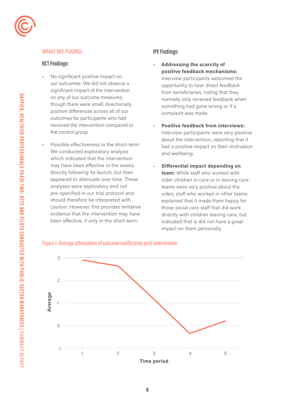

#### **RCT Findings:**

- No significant positive impact on our outcomes: We did not observe a significant impact of the intervention on any of our outcome measures, though there were small, directionally positive diferences across all of our outcomes for participants who had received the intervention compared to the control group.
- Possible effectiveness in the short-term: We conducted exploratory analysis which indicated that the intervention may have been effective in the weeks directly following its launch, but then appeared to attenuate over time. These analyses were exploratory and not pre-specified in our trial protocol and should therefore be interpreted with caution. However, this provides tentative evidence that the intervention may have been effective, if only in the short-term.

#### **IPE Findings:**

- **Addressing the scarcity of positive feedback mechanisms:**  Interview participants welcomed the opportunity to hear direct feedback from beneficiaries, noting that they normally only received feedback when something had gone wrong or if a complaint was made.
- **Positive feedback from interviews:**  Interview participants were very positive about the intervention, reporting that it had a positive impact on their motivation and wellbeing.
- **Differential impact depending on team:** While staff who worked with older children in care or in leaving care teams were very positive about the video, staff who worked in other teams explained that it made them happy for those social care staff that did work directly with children leaving care, but indicated that is did not have a great impact on them personally.

#### **Figure 1: Average attenuation of outcome coeficients post-intervention**

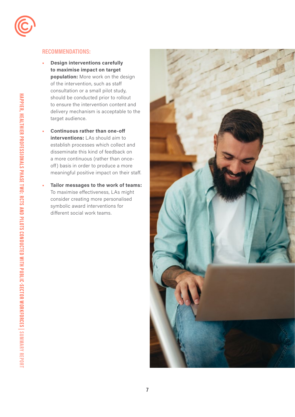

#### **RECOMMENDATIONS:**

- **Design interventions carefully to maximise impact on target population:** More work on the design of the intervention, such as staff consultation or a small pilot study, should be conducted prior to rollout to ensure the intervention content and delivery mechanism is acceptable to the target audience.
- **Continuous rather than one-off interventions:** LAs should aim to establish processes which collect and disseminate this kind of feedback on a more continuous (rather than onceoff) basis in order to produce a more meaningful positive impact on their staff.
- **Tailor messages to the work of teams:**  To maximise effectiveness, LAs might consider creating more personalised symbolic award interventions for different social work teams.

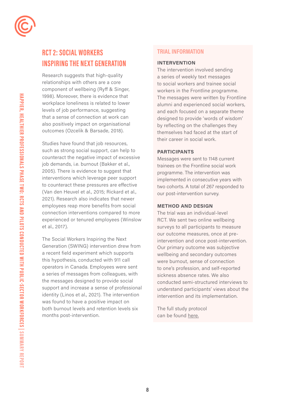

# **RCT 2: SOCIAL WORKERS INSPIRING THE NEXT GENERATION**

outcomes (Ozcelik & Barsade, 2018). Research suggests that high-quality relationships with others are a core component of wellbeing (Ryff & Singer, 1998). Moreover, there is evidence that workplace loneliness is related to lower levels of job performance, suggesting that a sense of connection at work can also positively impact on organisational

Studies have found that job resources, such as strong social support, can help to counteract the negative impact of excessive job demands, i.e. burnout (Bakker et al., 2005). There is evidence to suggest that interventions which leverage peer support to counteract these pressures are effective (Van den Heuvel et al., 2015; Rickard et al., 2021). Research also indicates that newer employees reap more benefits from social connection interventions compared to more experienced or tenured employees (Winslow et al., 2017).

The Social Workers Inspiring the Next Generation (SWING) intervention drew from a recent field experiment which supports this hypothesis, conducted with 911 call operators in Canada. Employees were sent a series of messages from colleagues, with the messages designed to provide social support and increase a sense of professional identity (Linos et al., 2021). The intervention was found to have a positive impact on both burnout levels and retention levels six months post-intervention.

#### **TRIAL INFORMATION**

#### **INTERVENTION**

The intervention involved sending a series of weekly text messages to social workers and trainee social workers in the Frontline programme. The messages were written by Frontline alumni and experienced social workers, and each focused on a separate theme designed to provide 'words of wisdom' by reflecting on the challenges they themselves had faced at the start of their career in social work.

#### **PARTICIPANTS**

Messages were sent to 1148 current trainees on the Frontline social work programme. The intervention was implemented in consecutive years with two cohorts. A total of 267 responded to our post-intervention survey.

#### **METHOD AND DESIGN**

The trial was an individual-level RCT. We sent two online wellbeing surveys to all participants to measure our outcome measures, once at preintervention and once post-intervention. Our primary outcome was subjective wellbeing and secondary outcomes were burnout, sense of connection to one's profession, and self-reported sickness absence rates. We also conducted semi-structured interviews to understand participants' views about the intervention and its implementation.

The full study protocol can be found [here.](https://whatworks-csc.org.uk/wp-content/uploads/WWCSC_HHP2_Trial-2_-SWING_trial_protocol_3.11.20.pdf)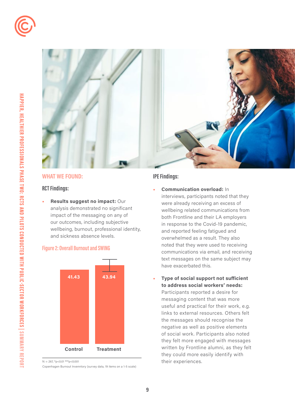



#### **RCT Findings:**

 and sickness absence levels. **• Results suggest no impact:** Our analysis demonstrated no significant impact of the messaging on any of our outcomes, including subjective wellbeing, burnout, professional identity,





 $N = 267$ , \*p<0.01 \*\*\*p<0.001

Copenhagen Burnout Invenntory (survey data, 19 items on a 1-5 scale)

#### **IPE Findings:**

- **• Communication overload:** In interviews, participants noted that they were already receiving an excess of wellbeing related communications from both Frontline and their LA employers in response to the Covid-19 pandemic, and reported feeling fatigued and overwhelmed as a result. They also noted that they were used to receiving communications via email, and receiving text messages on the same subject may have exacerbated this.
- **• Type of social support not sufficient to address social workers' needs:** Participants reported a desire for messaging content that was more useful and practical for their work, e.g. links to external resources. Others felt the messages should recognise the negative as well as positive elements of social work. Participants also noted they felt more engaged with messages written by Frontline alumni, as they felt they could more easily identify with their experiences.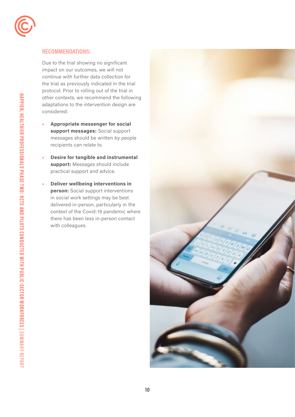

#### **RECOMMENDATIONS:**

Due to the trial showing no significant impact on our outcomes, we will not continue with further data collection for the trial as previously indicated in the trial protocol. Prior to rolling out of the trial in other contexts, we recommend the following adaptations to the intervention design are considered:

- **Appropriate messenger for social support messages:** Social support messages should be written by people recipients can relate to.
- practical support and advice. **• Desire for tangible and instrumental support:** Messages should include
- **Deliver wellbeing interventions in person:** Social support interventions in social work settings may be best delivered in-person, particularly in the context of the Covid-19 pandemic where there has been less in-person contact with colleagues.

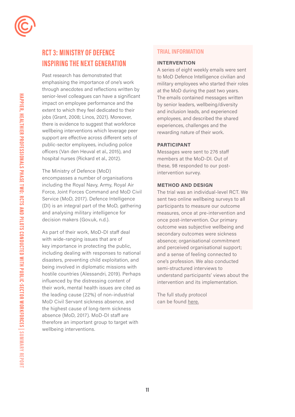

# **RCT 3: MINISTRY OF DEFENCE INSPIRING THE NEXT GENERATION**

Past research has demonstrated that emphasising the importance of one's work through anecdotes and reflections written by senior-level colleagues can have a significant impact on employee performance and the extent to which they feel dedicated to their jobs (Grant, 2008; Linos, 2021). Moreover, there is evidence to suggest that workforce wellbeing interventions which leverage peer support are efective across diferent sets of public-sector employees, including police oficers (Van den Heuval et al., 2015), and hospital nurses (Rickard et al., 2012).

The Ministry of Defence (MoD) encompasses a number of organisations including the Royal Navy, Army, Royal Air Force, Joint Forces Command and MoD Civil Service (MoD, 2017). Defence Intelligence (DI) is an integral part of the MoD, gathering and analysing military intelligence for decision makers (Gov.uk, n.d.).

As part of their work, MoD-DI staff deal with wide-ranging issues that are of key importance in protecting the public, including dealing with responses to national disasters, preventing child exploitation, and being involved in diplomatic missions with hostile countries (Alessandri, 2019). Perhaps influenced by the distressing content of their work, mental health issues are cited as the leading cause (22%) of non-industrial MoD Civil Servant sickness absence, and the highest cause of long-term sickness absence (MoD, 2017). MoD-DI staff are therefore an important group to target with wellbeing interventions.

#### **TRIAL INFORMATION**

#### **INTERVENTION**

A series of eight weekly emails were sent to MoD Defence Intelligence civilian and military employees who started their roles at the MoD during the past two years. The emails contained messages written by senior leaders, wellbeing/diversity and inclusion leads, and experienced employees, and described the shared experiences, challenges and the rewarding nature of their work.

#### **PARTICIPANT**

Messages were sent to 276 staff members at the MoD-DI. Out of these, 98 responded to our postintervention survey.

#### **METHOD AND DESIGN**

The trial was an individual-level RCT. We sent two online wellbeing surveys to all participants to measure our outcome measures, once at pre-intervention and once post-intervention. Our primary outcome was subjective wellbeing and secondary outcomes were sickness absence; organisational commitment and perceived organisational support; and a sense of feeling connected to one's profession. We also conducted semi-structured interviews to understand participants' views about the intervention and its implementation.

The full study protocol can be found [here.](https://whatworks-csc.org.uk/wp-content/uploads/WWCSC_HHP2_RCT3_-MOD-InspiringNextGeneration_trial_protocol_July2021.pdf)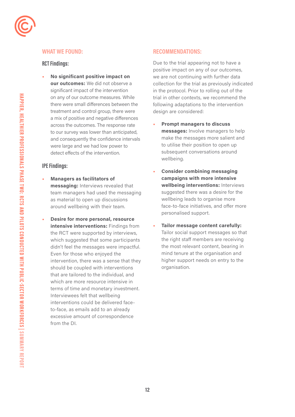

**HAPPIER, HE**

#### **WHAT WE FOUND:**

#### **RCT Findings:**

**• No significant positive impact on our outcomes:** We did not observe a significant impact of the intervention on any of our outcome measures. While there were small diferences between the treatment and control group, there were a mix of positive and negative diferences across the outcomes. The response rate to our survey was lower than anticipated, and consequently the confidence intervals were large and we had low power to detect efects of the intervention.

#### **IPE Findings:**

- **Managers as facilitators of messaging:** Interviews revealed that team managers had used the messaging as material to open up discussions around wellbeing with their team.
- **Desire for more personal, resource intensive interventions:** Findings from the RCT were supported by interviews, which suggested that some participants didn't feel the messages were impactful. Even for those who enjoyed the intervention, there was a sense that they should be coupled with interventions that are tailored to the individual, and which are more resource intensive in terms of time and monetary investment. Interviewees felt that wellbeing interventions could be delivered faceto-face, as emails add to an already excessive amount of correspondence from the DI.

#### **RECOMMENDATIONS:**

Due to the trial appearing not to have a positive impact on any of our outcomes, we are not continuing with further data collection for the trial as previously indicated in the protocol. Prior to rolling out of the trial in other contexts, we recommend the following adaptations to the intervention design are considered:

- **Prompt managers to discuss messages:** Involve managers to help make the messages more salient and to utilise their position to open up subsequent conversations around wellbeing.
- **Consider combining messaging campaigns with more intensive wellbeing interventions:** Interviews suggested there was a desire for the wellbeing leads to organise more face-to-face initiatives, and offer more personalised support.
- **Tailor message content carefully:**  Tailor social support messages so that the right staff members are receiving the most relevant content, bearing in mind tenure at the organisation and higher support needs on entry to the organisation.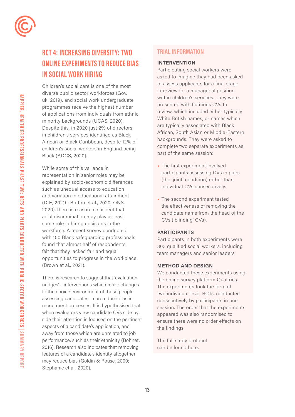

# **RCT 4: INCREASING DIVERSITY: TWO ONLINE EXPERIMENTS TO REDUCE BIAS IN SOCIAL WORK HIRING**

Children's social care is one of the most diverse public sector workforces (Gov. uk, 2019), and social work undergraduate programmes receive the highest number of applications from individuals from ethnic minority backgrounds (UCAS, 2020). Despite this, in 2020 just 2% of directors in children's services identified as Black African or Black Caribbean, despite 12% of children's social workers in England being Black (ADCS, 2020).

While some of this variance in representation in senior roles may be explained by socio-economic differences such as unequal access to education and variation in educational attainment (DfE, 2021b, Britton et al., 2020; ONS, 2020), there is reason to suspect that acial discrimination may play at least some role in hiring decisions in the workforce. A recent survey conducted with 100 Black safeguarding professionals found that almost half of respondents felt that they lacked fair and equal opportunities to progress in the workplace (Brown et al., 2021).

There is research to suggest that 'evaluation nudges' - interventions which make changes to the choice environment of those people assessing candidates - can reduce bias in recruitment processes. It is hypothesised that when evaluators view candidate CVs side by side their attention is focused on the pertinent aspects of a candidate's application, and away from those which are unrelated to job performance, such as their ethnicity (Bohnet, 2016). Research also indicates that removing features of a candidate's identity altogether may reduce bias (Goldin & Rouse, 2000; Stephanie et al., 2020).

#### **TRIAL INFORMATION**

#### **INTERVENTION**

Participating social workers were asked to imagine they had been asked to assess applicants for a final stage interview for a managerial position within children's services. They were presented with fictitious CVs to review, which included either typically White British names, or names which are typically associated with Black African, South Asian or Middle-Eastern backgrounds. They were asked to complete two separate experiments as part of the same session:

- The first experiment involved participants assessing CVs in pairs (the 'joint' condition) rather than individual CVs consecutively.
- The second experiment tested the effectiveness of removing the candidate name from the head of the CVs ('blinding' CVs).

#### **PARTICIPANTS**

Participants in both experiments were 303 qualified social workers, including team managers and senior leaders.

#### **METHOD AND DESIGN**

We conducted these experiments using the online survey platform Qualtrics. The experiments took the form of two individual-level RCTs, conducted consecutively by participants in one session. The order that the experiments appeared was also randomised to ensure there were no order effects on the findings.

The full study protocol can be found [here.](https://whatworks-csc.org.uk/wp-content/uploads/WWCSC_HHP2_Increasing_Diversity_Trial_Protocol_June2021.pdf)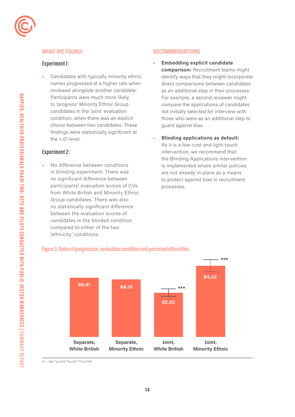

#### **Experiment 1:**

 reviewed alongside another candidate: **•** Candidates with typically minority ethnic names progressed at a higher rate when Participants were much more likely to 'progress' Minority Ethnic Group candidates in the 'joint' evaluation condition, when there was an explicit choice between two candidates. These findings were statistically significant at the <.01 level.

#### **Experiment 2:**

**•** No difference between conditions in blinding experiment: There was no significant difference between participants' evaluation scores of CVs from White British and Minority Ethnic Group candidates. There was also no statistically significant difference between the evaluation scores of candidates in the blinded condition compared to either of the two 'ethnicity' conditions.

#### **RECOMMENDATIONS**

- **• Embedding explicit candidate comparison:** Recruitment teams might identify ways that they might incorporate direct comparisons between candidates as an additional step in their processes. For example, a second reviewer might compare the applications of candidates not initially selected for interview with those who were as an additional step to guard against bias.
- **• Blinding applications as default:** As it is a low-cost and light-touch intervention, we recommend that the Blinding Applications intervention is implemented where similar policies are not already in place as a means to protect against bias in recruitment processes.

**\*\*\***

# **69.91 68.15 52.53 84.22 Separate, Separate, Joint, Joint, White British Minority Ethnic White British Minority Ethnic \*\*\***

#### **Figure 3: Rates of progression, evaluation condition and perceived ethnicities**

 $N = 303$ , \*p<0.05 \*\*p<0.01 \*\*\*p<0.001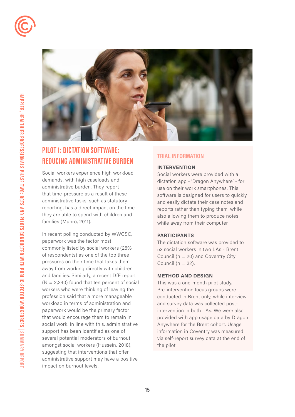



# **PILOT 1: DICTATION SOFTWARE: REDUCING ADMINISTRATIVE BURDEN**

Social workers experience high workload demands, with high caseloads and administrative burden. They report that time-pressure as a result of these administrative tasks, such as statutory reporting, has a direct impact on the time they are able to spend with children and families (Munro, 2011).

impact on burnout levels. In recent polling conducted by WWCSC, paperwork was the factor most commonly listed by social workers (25% of respondents) as one of the top three pressures on their time that takes them away from working directly with children and families. Similarly, a recent DfE report  $(N = 2,240)$  found that ten percent of social workers who were thinking of leaving the profession said that a more manageable workload in terms of administration and paperwork would be the primary factor that would encourage them to remain in social work. In line with this, administrative support has been identified as one of several potential moderators of burnout amongst social workers (Hussein, 2018), suggesting that interventions that offer administrative support may have a positive **REDUCING ADMINISTRATIVE BURDEN**<br>
Social workers experience high workload<br>
Social workers experience high workload<br>
distation app - "Dragged and<br>
dictation app - "Dragged and<br>
dictation app - "Dragged use on their work smi

#### **INTERVENTION**

Social workers were provided with a dictation app - 'Dragon Anywhere' - for use on their work smartphones. This software is designed for users to quickly and easily dictate their case notes and reports rather than typing them, while also allowing them to produce notes while away from their computer.

#### **PARTICIPANTS**

The dictation software was provided to 52 social workers in two LAs - Brent Council ( $n = 20$ ) and Coventry City Council ( $n = 32$ ).

#### **METHOD AND DESIGN**

This was a one-month pilot study. Pre-intervention focus groups were conducted in Brent only, while interview and survey data was collected postintervention in both LAs. We were also provided with app usage data by Dragon Anywhere for the Brent cohort. Usage information in Coventry was measured via self-report survey data at the end of the pilot.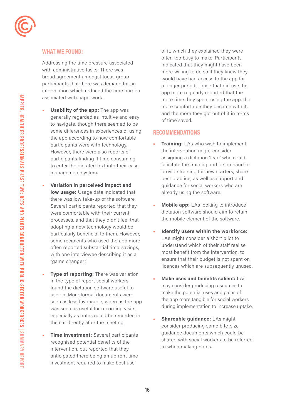

Addressing the time pressure associated with administrative tasks: There was broad agreement amongst focus group participants that there was demand for an intervention which reduced the time burden associated with paperwork.

- **Usability of the app:** The app was generally regarded as intuitive and easy to navigate, though there seemed to be some differences in experiences of using the app according to how comfortable participants were with technology. However, there were also reports of participants finding it time consuming to enter the dictated text into their case management system.
- **Variation in perceived impact and low usage:** Usage data indicated that there was low take-up of the software. Several participants reported that they were comfortable with their current processes, and that they didn't feel that adopting a new technology would be particularly beneficial to them. However, some recipients who used the app more often reported substantial time-savings, with one interviewee describing it as a "game changer".
- **Type of reporting:** There was variation in the type of report social workers found the dictation software useful to use on. More formal documents were seen as less favourable, whereas the app was seen as useful for recording visits, especially as notes could be recorded in the car directly after the meeting.
- **Time investment:** Several participants recognised potential benefits of the intervention, but reported that they anticipated there being an upfront time investment required to make best use

of it, which they explained they were often too busy to make. Participants indicated that they might have been more willing to do so if they knew they would have had access to the app for a longer period. Those that did use the app more regularly reported that the more time they spent using the app, the more comfortable they became with it, and the more they got out of it in terms of time saved.

#### **RECOMMENDATIONS**

- **Training:** LAs who wish to implement the intervention might consider assigning a dictation 'lead' who could facilitate the training and be on hand to provide training for new starters, share best practice, as well as support and guidance for social workers who are already using the software.
- **Mobile app:** LAs looking to introduce dictation software should aim to retain the mobile element of the software.
- **Identify users within the workforce:**  LAs might consider a short pilot to understand which of their staff realise most benefit from the intervention, to ensure that their budget is not spent on licences which are subsequently unused.
- **Make uses and benefits salient:** LAs may consider producing resources to make the potential uses and gains of the app more tangible for social workers during implementation to increase uptake.
- **Shareable guidance:** LAs might consider producing some bite-size guidance documents which could be shared with social workers to be referred to when making notes.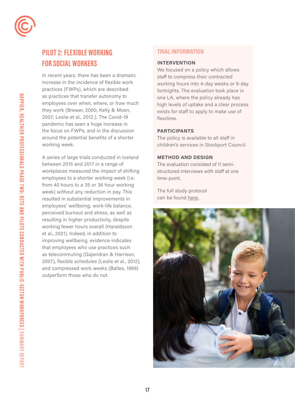

# **PILOT 2: FLEXIBLE WORKING FOR SOCIAL WORKERS**

In recent years, there has been a dramatic increase in the incidence of flexible work practices (FWPs), which are described as practices that transfer autonomy to employees over when, where, or how much they work (Brewer, 2000; Kelly & Moen, 2007; Leslie et al., 2012;). The Covid-19 pandemic has seen a huge increase in the focus on FWPs, and in the discussion around the potential benefits of a shorter working week.

as telecommuting (Gajendran & Harrison, A series of large trials conducted in Iceland between 2015 and 2017 in a range of workplaces measured the impact of shifting employees to a shorter working week (i.e. from 40 hours to a 35 or 36 hour working week) without any reduction in pay. This resulted in substantial improvements in employees' wellbeing, work-life balance, perceived burnout and stress, as well as resulting in higher productivity, despite working fewer hours overall (Haraldsson et al., 2021). Indeed, in addition to improving wellbeing, evidence indicates that employees who use practices such 2007), flexible schedules (Leslie et al., 2012), and compressed work weeks (Baltes, 1999) outperform those who do not.

#### **TRIAL INFORMATION**

#### **INTERVENTION**

We focused on a policy which allows staff to compress their contracted working hours into 4-day weeks or 9-day fortnights. The evaluation took place in one LA, where the policy already has high levels of uptake and a clear process exists for staff to apply to make use of flexitime.

#### **PARTICIPANTS**

The policy is available to all staff in children's services in Stockport Council.

#### **METHOD AND DESIGN**

The evaluation consisted of 11 semistructured interviews with staff at one time-point.

The full study protocol can be found [here.](https://whatworks-csc.org.uk/wp-content/uploads/HHP2-Pilot-2_-Flexitime-FINAL.pdf)



**17**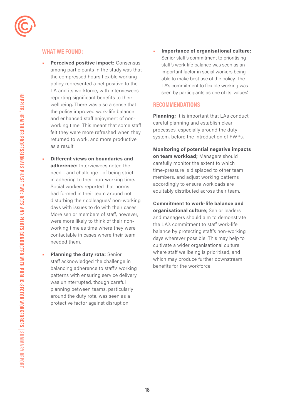

- **Perceived positive impact:** Consensus among participants in the study was that the compressed hours flexible working policy represented a net positive to the LA and its workforce, with interviewees reporting significant benefits to their wellbeing. There was also a sense that the policy improved work-life balance and enhanced staff enjoyment of nonworking time. This meant that some staff felt they were more refreshed when they returned to work, and more productive as a result.
- **Different views on boundaries and adherence:** Interviewees noted the need - and challenge - of being strict in adhering to their non-working time. Social workers reported that norms had formed in their team around not disturbing their colleagues' non-working days with issues to do with their cases. More senior members of staff, however, were more likely to think of their nonworking time as time where they were contactable in cases where their team needed them.
- **Planning the duty rota:** Senior staff acknowledged the challenge in balancing adherence to staff's working patterns with ensuring service delivery was uninterrupted, though careful planning between teams, particularly around the duty rota, was seen as a protective factor against disruption.

**• Importance of organisational culture:**  Senior staf's commitment to prioritising staf's work-life balance was seen as an important factor in social workers being able to make best use of the policy. The LA's commitment to flexible working was seen by participants as one of its 'values.'

#### **RECOMMENDATIONS**

**Planning;** It is important that LAs conduct careful planning and establish clear processes, especially around the duty system, before the introduction of FWPs.

**Monitoring of potential negative impacts on team workload;** Managers should carefully monitor the extent to which time-pressure is displaced to other team members, and adjust working patterns accordingly to ensure workloads are equitably distributed across their team.

**Commitment to work-life balance and organisational culture**; Senior leaders and managers should aim to demonstrate the LA's commitment to staff work-life balance by protecting staff's non-working days wherever possible. This may help to cultivate a wider organisational culture where staff wellbeing is prioritised, and which may produce further downstream benefits for the workforce.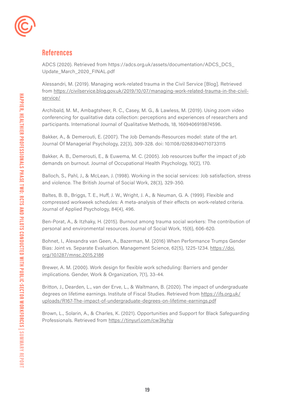

## **References**

ADCS (2020). Retrieved from [https://adcs.org.uk/assets/documentation/ADCS\\_DCS\\_](https://adcs.org.uk/assets/documentation/ADCS_DCS) Update\_March\_2020\_FINAL.pdf

Alessandri, M. (2019). Managing work-related trauma in the Civil Service [Blog]. Retrieved from [https://civilservice.blog.gov.uk/2019/10/07/managing-work-related-trauma-in-the-civil](https://civilservice.blog.gov.uk/2019/10/07/managing-work-related-trauma-in-the-civil-service/)[service/](https://civilservice.blog.gov.uk/2019/10/07/managing-work-related-trauma-in-the-civil-service/) 

Archibald, M. M., Ambagtsheer, R. C., Casey, M. G., & Lawless, M. (2019). Using zoom video conferencing for qualitative data collection: perceptions and experiences of researchers and participants. International Journal of Qualitative Methods, 18, 1609406919874596.

Bakker, A., & Demerouti, E. (2007). The Job Demands‐Resources model: state of the art. Journal Of Managerial Psychology, 22(3), 309-328. doi: 10.1108/02683940710733115

Bakker, A. B., Demerouti, E., & Euwema, M. C. (2005). Job resources buffer the impact of job demands on burnout. Journal of Occupational Health Psychology, 10(2), 170.

Balloch, S., Pahl, J., & McLean, J. (1998). Working in the social services: Job satisfaction, stress and violence. The British Journal of Social Work, 28(3), 329-350.

Baltes, B. B., Briggs, T. E., Huff, J. W., Wright, J. A., & Neuman, G. A. (1999). Flexible and compressed workweek schedules: A meta-analysis of their effects on work-related criteria. Journal of Applied Psychology, 84(4), 496.

Ben-Porat, A., & Itzhaky, H. (2015). Burnout among trauma social workers: The contribution of personal and environmental resources. Journal of Social Work, 15(6), 606-620.

Bohnet, I., Alexandra van Geen, A., Bazerman, M. (2016) When Performance Trumps Gender Bias: Joint vs. Separate Evaluation. Management Science, 62(5), 1225-1234. [https://doi.](https://doi.org/10.1287/mnsc.2015.2186) [org/10.1287/mnsc.2015.2186](https://doi.org/10.1287/mnsc.2015.2186) 

Brewer, A. M. (2000). Work design for flexible work scheduling: Barriers and gender implications. Gender, Work & Organization, 7(1), 33-44.

Britton, J., Dearden, L., van der Erve, L., & Waltmann, B. (2020). The impact of undergraduate degrees on lifetime earnings. Institute of Fiscal Studies. Retrieved from [https://ifs.org.uk/](https://ifs.org.uk/uploads/R167-The-impact-of-undergraduate-degrees-on-lifetime-earnings.pdf) [uploads/R167-The-impact-of-undergraduate-degrees-on-lifetime-earnings.pdf](https://ifs.org.uk/uploads/R167-The-impact-of-undergraduate-degrees-on-lifetime-earnings.pdf)

Brown, L., Solarin, A., & Charles, K. (2021). Opportunities and Support for Black Safeguarding Professionals. Retrieved from<https://tinyurl.com/cw3kyhjy>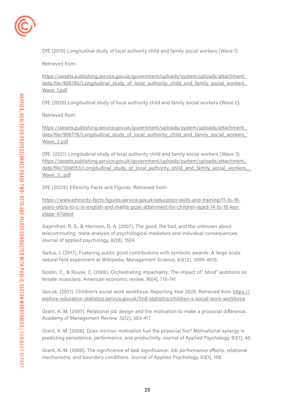

DfE (2019) Longitudinal study of local authority child and family social workers (Wave 1).

Retrieved from:

[https://assets.publishing.service.gov.uk/government/uploads/system/uploads/attachment\\_](https://assets.publishing.service.gov.uk/government/uploads/system/uploads/attachment_data/file/9067)  data/file/906780/Longitudinal\_study\_of\_local\_authority\_child\_and\_family\_social\_workers Wave 1.pdf

DfE (2020) Longitudinal study of local authority child and family social workers (Wave 2).

Retrieved from:

[https://assets.publishing.service.gov.uk/government/uploads/system/uploads/attachment\\_](https://assets.publishing.service.gov.uk/government/uploads/system/uploads/attachment_data/file/9067)  data/file/906778/Longitudinal\_study\_of\_local\_authority\_child\_and\_family\_social\_workers [Wave\\_2.pdf](https://assets.publishing.service.gov.uk/government/uploads/system/uploads/attachment_data/file/9067)

DfE. (2021) Longitudinal study of local authority child and family social workers (Wave 3) [https://assets.publishing.service.gov.uk/government/uploads/system/uploads/attachment\\_](https://assets.publishing.service.gov.uk/government/uploads/system/uploads/attachment_data/file/1008)  data/file/1008153/Longitudinal\_study\_of\_local\_authority\_child\_and\_family\_social\_workers [Wave\\_3\\_.pdf](https://assets.publishing.service.gov.uk/government/uploads/system/uploads/attachment_data/file/1008)

DfE (2021b) Ethnicity Facts and Figures. Retrieved from:

[https://www.ethnicity-facts-figures.service.gov.uk/education-skills-and-training/11-to-16](https://www.ethnicity-facts-figures.service.gov.uk/education-skills-and-training/11-to-16-years-old/) [years-old/a-to-c-in-english-and-maths-gcse-attainment-for-children-aged-14-to-16-key](https://www.ethnicity-facts-figures.service.gov.uk/education-skills-and-training/11-to-16-years-old/)[stage-4/latest](https://www.ethnicity-facts-figures.service.gov.uk/education-skills-and-training/11-to-16-years-old/)

Gajendran, R. S., & Harrison, D. A. (2007). The good, the bad, and the unknown about telecommuting: meta-analysis of psychological mediators and individual consequences. Journal of applied psychology, 92(6), 1524.

Gallus, J. (2017). Fostering public good contributions with symbolic awards: A large-scale natural field experiment at Wikipedia. Management Science, 63(12), 3999-4015.

Goldin, C., & Rouse, C. (2000). Orchestrating impartiality: The impact of" blind" auditions on female musicians. American economic review, 90(4), 715-741

Gov.uk. (2021). Children's social work workforce, Reporting Year 2020. Retrieved from [https://](https://explore-education-statistics.service.gov.uk/find-statistics/children-s-social-work-workforce)  [explore-education-statistics.service.gov.uk/find-statistics/children-s-social-work-workforce](https://explore-education-statistics.service.gov.uk/find-statistics/children-s-social-work-workforce) 

Grant, A. M. (2007). Relational job design and the motivation to make a prosocial difference. Academy of Management Review, 32(2), 393-417.

Grant, A. M. (2008). Does intrinsic motivation fuel the prosocial fire? Motivational synergy in predicting persistence, performance, and productivity. Journal of Applied Psychology, 93(1), 48.

Grant, A. M. (2008). The significance of task significance: Job performance effects, relational mechanisms, and boundary conditions. Journal of Applied Psychology, 93(1), 108.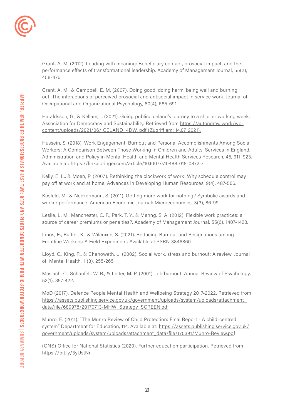Grant, A. M. (2012). Leading with meaning: Beneficiary contact, prosocial impact, and the performance effects of transformational leadership. Academy of Management Journal, 55(2), 458-476.

Grant, A. M., & Campbell, E. M. (2007). Doing good, doing harm, being well and burning out: The interactions of perceived prosocial and antisocial impact in service work. Journal of Occupational and Organizational Psychology, 80(4), 665-691.

Haraldsson, G., & Kellam, J. (2021). Going public: Iceland's journey to a shorter working week. Association for Democracy and Sustainability. Retrieved from [https://autonomy. work/wp](https://autonomy. work/wp-content/uploads/2021/06/ICELAND_4DW. pdf (Zugriff am: 14.07. 2021).)[content/uploads/2021/06/ICELAND\\_4DW. pdf \(Zugriff am: 14.07. 2021\).](https://autonomy. work/wp-content/uploads/2021/06/ICELAND_4DW. pdf (Zugriff am: 14.07. 2021).)

Hussein, S. (2018). Work Engagement, Burnout and Personal Accomplishments Among Social Workers: A Comparison Between Those Working in Children and Adults' Services in England. Administration and Policy in Mental Health and Mental Health Services Research, 45, 911–923. Available at: <https://link.springer.com/article/10.1007/s10488-018-0872-z>

Kelly, E. L., & Moen, P. (2007). Rethinking the clockwork of work: Why schedule control may pay off at work and at home. Advances in Developing Human Resources, 9(4), 487-506.

Kosfeld, M., & Neckermann, S. (2011). Getting more work for nothing? Symbolic awards and worker performance. American Economic Journal: Microeconomics, 3(3), 86-99.

Leslie, L. M., Manchester, C. F., Park, T. Y., & Mehng, S. A. (2012). Flexible work practices: a source of career premiums or penalties?. Academy of Management Journal, 55(6), 1407-1428.

Linos, E., Ruffini, K., & Wilcoxen, S. (2021). Reducing Burnout and Resignations among Frontline Workers: A Field Experiment. Available at SSRN 3846860.

Lloyd, C., King, R., & Chenoweth, L. (2002). Social work, stress and burnout: A review. Journal of Mental Health, 11(3), 255-265.

Maslach, C., Schaufeli, W. B., & Leiter, M. P. (2001). Job burnout. Annual Review of Psychology, 52(1), 397-422.

MoD (2017). Defence People Mental Health and Wellbeing Strategy 2017-2022. Retrieved from [https://assets.publishing.service.gov.uk/government/uploads/system/uploads/attachment\\_](https://assets.publishing.service.gov.uk/government/uploads/system/uploads/attachment_data/file/6899)  [data/file/689978/20170713-MHW\\_Strategy\\_SCREEN.pdf](https://assets.publishing.service.gov.uk/government/uploads/system/uploads/attachment_data/file/6899)

Munro, E. (2011). "The Munro Review of Child Protection: Final Report - A child-centred system". Department for Education, 114. Available at: [https://assets.publishing.service.gov.uk/](https://assets.publishing.service.gov.uk/government/uploads/system/uploads/attachment_data/file/1753) [government/uploads/system/uploads/attachment\\_data/file/175391/Munro-Review.pdf](https://assets.publishing.service.gov.uk/government/uploads/system/uploads/attachment_data/file/1753)

(ONS) Office for National Statistics (2020). Further education participation. Retrieved from <https://bit.ly/3yUstNn>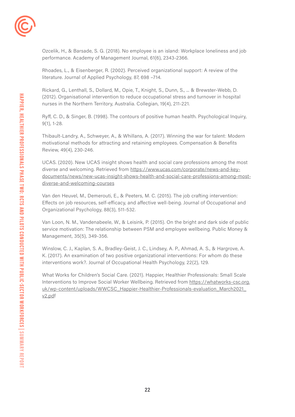

Ozcelik, H., & Barsade, S. G. (2018). No employee is an island: Workplace loneliness and job performance. Academy of Management Journal, 61(6), 2343-2366.

Rhoades, L., & Eisenberger, R. (2002). Perceived organizational support: A review of the literature. Journal of Applied Psychology, 87, 698 –714.

Rickard, G., Lenthall, S., Dollard, M., Opie, T., Knight, S., Dunn, S., ... & Brewster-Webb, D. (2012). Organisational intervention to reduce occupational stress and turnover in hospital nurses in the Northern Territory, Australia. Collegian, 19(4), 211-221.

Ryff, C. D., & Singer, B. (1998). The contours of positive human health. Psychological Inquiry, 9(1), 1-28.

Thibault-Landry, A., Schweyer, A., & Whillans, A. (2017). Winning the war for talent: Modern motivational methods for attracting and retaining employees. Compensation & Benefits Review, 49(4), 230-246.

UCAS. (2020). New UCAS insight shows health and social care professions among the most diverse and welcoming. Retrieved from [https://www.ucas.com/corporate/news-and-key](https://www.ucas.com/corporate/news-and-key-documents/news/new-ucas-insight-shows-health-and-social-)[documents/news/new-ucas-insight-shows-health-and-social-care-professions-among-most](https://www.ucas.com/corporate/news-and-key-documents/news/new-ucas-insight-shows-health-and-social-)[diverse-and-welcoming-courses](https://www.ucas.com/corporate/news-and-key-documents/news/new-ucas-insight-shows-health-and-social-)

Van den Heuvel, M., Demerouti, E., & Peeters, M. C. (2015). The job crafting intervention: Effects on job resources, self‐efficacy, and affective well‐being. Journal of Occupational and Organizational Psychology, 88(3), 511-532.

Van Loon, N. M., Vandenabeele, W., & Leisink, P. (2015). On the bright and dark side of public service motivation: The relationship between PSM and employee wellbeing. Public Money & Management, 35(5), 349-356.

Winslow, C. J., Kaplan, S. A., Bradley-Geist, J. C., Lindsey, A. P., Ahmad, A. S., & Hargrove, A. K. (2017). An examination of two positive organizational interventions: For whom do these interventions work?. Journal of Occupational Health Psychology, 22(2), 129.

What Works for Children's Social Care. (2021). Happier, Healthier Professionals: Small Scale Interventions to Improve Social Worker Wellbeing. Retrieved from [https://whatworks-csc.org.](https://whatworks-csc.org.uk/wp-content/uploads/WWCSC_Happier-Healthier-Professionals-evaluation_Mar) uk/wp-content/uploads/WWCSC\_Happier-Healthier-Professionals-evaluation\_March2021 [v2.pdf](https://whatworks-csc.org.uk/wp-content/uploads/WWCSC_Happier-Healthier-Professionals-evaluation_Mar)